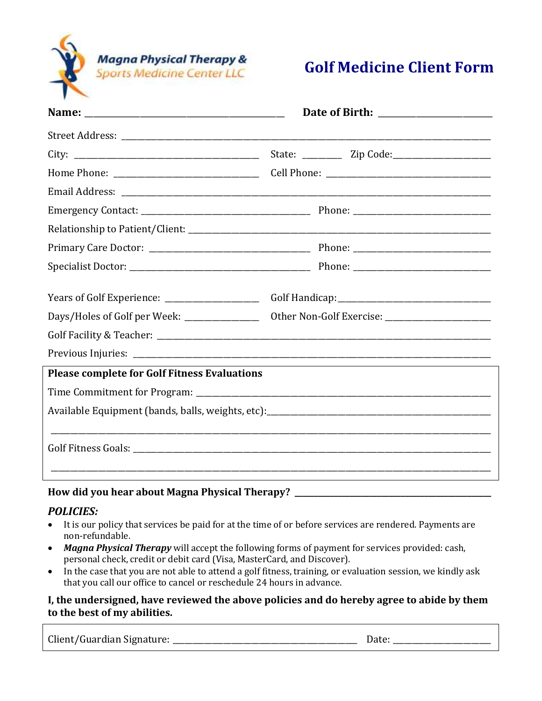

# **Golf Medicine Client Form**

| Years of Golf Experience: ____________________                                              |  |  |  |
|---------------------------------------------------------------------------------------------|--|--|--|
|                                                                                             |  |  |  |
|                                                                                             |  |  |  |
|                                                                                             |  |  |  |
| <b>Please complete for Golf Fitness Evaluations</b>                                         |  |  |  |
|                                                                                             |  |  |  |
|                                                                                             |  |  |  |
|                                                                                             |  |  |  |
| $H_{\text{max}}$ , 1: 1 and 1, and 1, and 1, and $M_{\text{max}}$ . Dhead of 1 TH, account? |  |  |  |

### **How did you hear about Magna Physical Therapy? \_\_\_\_\_\_\_\_\_\_\_\_\_\_\_\_\_\_\_\_\_\_\_\_\_\_\_\_\_\_\_\_\_\_\_\_\_\_\_\_\_\_\_\_\_\_\_\_\_\_**

### *POLICIES:*

- It is our policy that services be paid for at the time of or before services are rendered. Payments are non-refundable.
- *Magna Physical Therapy* will accept the following forms of payment for services provided: cash, personal check, credit or debit card (Visa, MasterCard, and Discover).
- In the case that you are not able to attend a golf fitness, training, or evaluation session, we kindly ask that you call our office to cancel or reschedule 24 hours in advance.

#### **I, the undersigned, have reviewed the above policies and do hereby agree to abide by them to the best of my abilities.**

Client/Guardian Signature: \_\_\_\_\_\_\_\_\_\_\_\_\_\_\_\_\_\_\_\_\_\_\_\_\_\_\_\_\_\_\_\_\_\_\_\_\_\_\_\_\_\_\_\_\_\_\_ Date: \_\_\_\_\_\_\_\_\_\_\_\_\_\_\_\_\_\_\_\_\_\_\_\_\_